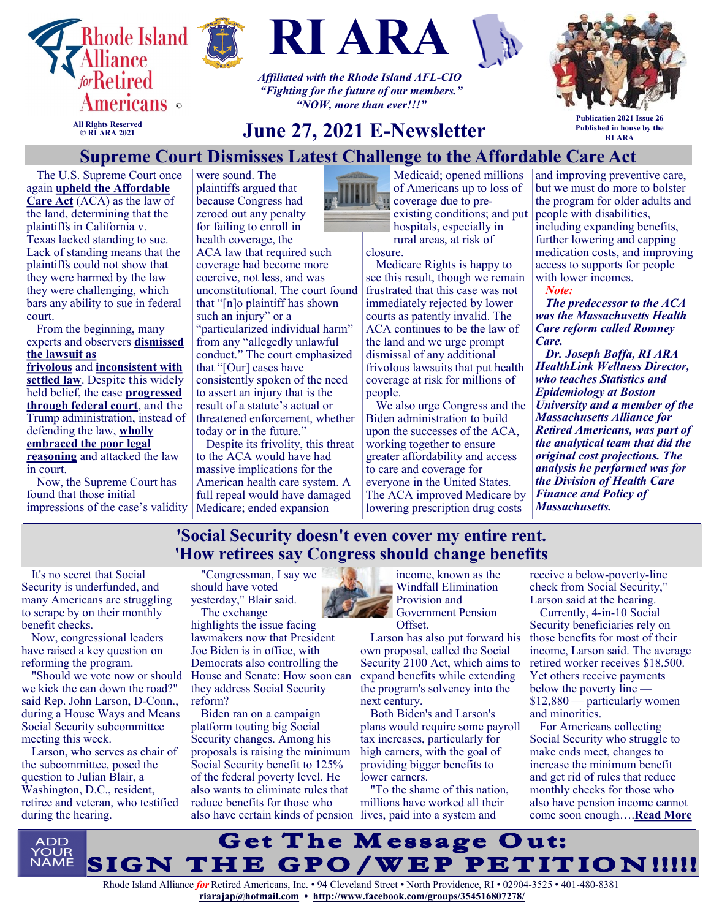





*Affiliated with the Rhode Island AFL-CIO "Fighting for the future of our members." "NOW, more than ever!!!"*



**All Rights Reserved © RI ARA 2021**

# **June 27, 2021 E-Newsletter**

**Publication 2021 Issue 26 Published in house by the RI ARA**

## **Supreme Court Dismisses Latest Challenge to the Affordable Care Act**

The U.S. Supreme Court once again **[upheld the Affordable](https://www.supremecourt.gov/opinions/20pdf/19-840_6jfm.pdf)  [Care Act](https://www.supremecourt.gov/opinions/20pdf/19-840_6jfm.pdf)** (ACA) as the law of the land, determining that the plaintiffs in California v. [Texas](https://www.kff.org/health-reform/issue-brief/explaining-california-v-texas-a-guide-to-the-case-challenging-the-aca/) lacked standing to sue. Lack of standing means that the plaintiffs could not show that they were harmed by the law they were challenging, which bars any ability to sue in federal court.

From the beginning, many experts and observers **[dismissed](https://www.medicarerights.org/medicare-watch/2020/03/05/supreme-court-likely-to-hear-affordable-care-act-case-this-year)  [the lawsuit as](https://www.medicarerights.org/medicare-watch/2020/03/05/supreme-court-likely-to-hear-affordable-care-act-case-this-year)** 

**[frivolous](https://www.medicarerights.org/medicare-watch/2020/03/05/supreme-court-likely-to-hear-affordable-care-act-case-this-year)** and **[inconsistent with](https://theincidentaleconomist.com/wordpress/wp-content/uploads/2018/06/Texas-v.-US-Law-Profs-Amicus-Br.pdf)  [settled law](https://theincidentaleconomist.com/wordpress/wp-content/uploads/2018/06/Texas-v.-US-Law-Profs-Amicus-Br.pdf)**. Despite this widely held belief, the case **[progressed](https://www.medicarerights.org/medicare-watch/2020/06/25/legal-attacks-on-aca-ramp-up-threatening-coverage-for-millions)  [through federal court](https://www.medicarerights.org/medicare-watch/2020/06/25/legal-attacks-on-aca-ramp-up-threatening-coverage-for-millions)**, and the Trump administration, instead of defending the law, **[wholly](https://www.medicarerights.org/media-center/trump-administration-works-to-undermine-the-affordable-care-act-yet-again)  [embraced the poor legal](https://www.medicarerights.org/media-center/trump-administration-works-to-undermine-the-affordable-care-act-yet-again)  [reasoning](https://www.medicarerights.org/media-center/trump-administration-works-to-undermine-the-affordable-care-act-yet-again)** and attacked the law in court.

Now, the Supreme Court has found that those initial impressions of the case's validity

were sound. The plaintiffs argued that because Congress had zeroed out any penalty for failing to enroll in health coverage, the ACA law that required such coverage had become more coercive, not less, and was unconstitutional. The court found that "[n]o plaintiff has shown such an injury" or a "particularized individual harm" from any "allegedly unlawful conduct." The court emphasized that "[Our] cases have consistently spoken of the need to assert an injury that is the result of a statute's actual or threatened enforcement, whether today or in the future."

Despite its frivolity, this threat to the ACA would have had massive implications for the American health care system. A full repeal would have damaged Medicare; ended expansion



Medicaid; opened millions of Americans up to loss of coverage due to preexisting conditions; and put hospitals, especially in rural areas, at risk of

closure.

Medicare Rights is happy to see this result, though we remain frustrated that this case was not immediately rejected by lower courts as patently invalid. The ACA continues to be the law of the land and we urge prompt dismissal of any additional frivolous lawsuits that put health coverage at risk for millions of people.

We also urge Congress and the Biden administration to build upon the successes of the ACA, working together to ensure greater affordability and access to care and coverage for everyone in the United States. The ACA improved Medicare by lowering prescription drug costs

and improving preventive care, but we must do more to bolster the program for older adults and people with disabilities, including expanding benefits, further lowering and capping medication costs, and improving access to supports for people with lower incomes.

*Note:*

*The predecessor to the ACA was the Massachusetts Health Care reform called Romney Care.* 

*Dr. Joseph Boffa, RI ARA HealthLink Wellness Director, who teaches Statistics and Epidemiology at Boston University and a member of the Massachusetts Alliance for Retired Americans, was part of the analytical team that did the original cost projections. The analysis he performed was for the Division of Health Care Finance and Policy of Massachusetts.* 

## **'Social Security doesn't even cover my entire rent. 'How retirees say Congress should change benefits**

It's no secret that Social Security is underfunded, and many Americans are struggling to scrape by on their monthly benefit checks.

Now, congressional leaders have raised a key question on reforming the program.

"Should we vote now or should we kick the can down the road?" said Rep. John Larson, D-Conn., during a House Ways and Means Social Security subcommittee meeting this week.

Larson, who serves as chair of the subcommittee, posed the question to Julian Blair, a Washington, D.C., resident, retiree and veteran, who testified during the hearing.

"Congressman, I say we should have voted yesterday," Blair said. The exchange

highlights the issue facing lawmakers now that President Joe Biden is in office, with Democrats also controlling the House and Senate: How soon can they address Social Security reform?

Biden ran on a campaign platform touting big Social Security changes. Among his proposals is raising the minimum Social Security benefit to 125% of the federal poverty level. He also wants to eliminate rules that reduce benefits for those who also have certain kinds of pension lives, paid into a system and



Larson has also put forward his own proposal, called the Social Security 2100 Act, which aims to expand benefits while extending the program's solvency into the next century.

Both Biden's and Larson's plans would require some payroll tax increases, particularly for high earners, with the goal of providing bigger benefits to lower earners.

"To the shame of this nation, millions have worked all their

receive a below-poverty-line check from Social Security," Larson said at the hearing.

Currently, 4-in-10 Social Security beneficiaries rely on those benefits for most of their income, Larson said. The average retired worker receives \$18,500. Yet others receive payments below the poverty line — \$12,880 — particularly women and minorities.

For Americans collecting Social Security who struggle to make ends meet, changes to increase the minimum benefit and get rid of rules that reduce monthly checks for those who also have pension income cannot come soon enough….**[Read More](https://www.msn.com/en-us/money/retirement/social-security-doesn-t-even-cover-my-entire-rent-how-retirees-say-congress-should-change-benefits/ar-AAL9Omx?ocid=SK2DDHP)**

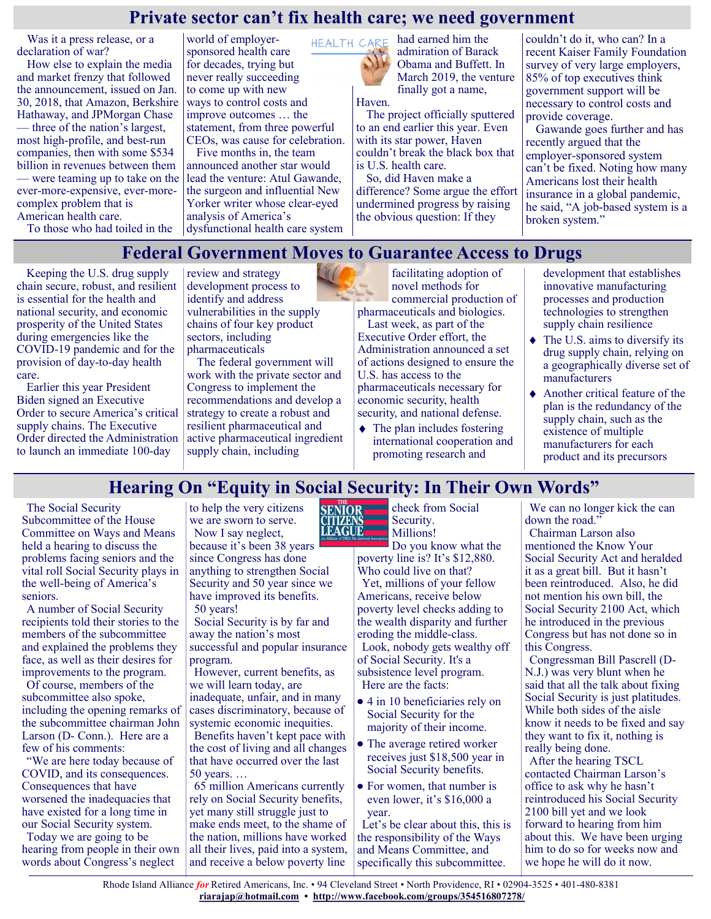## **Private sector can't fix health care; we need government**

Was it a press release, or a declaration of war?

How else to explain the media and market frenzy that followed the announcement, issued on Jan. 30, 2018, that Amazon, Berkshire Hathaway, and JPMorgan Chase — three of the nation's largest, most high-profile, and best-run companies, then with some \$534 billion in revenues between them — were teaming up to take on the ever-more-expensive, ever-morecomplex problem that is American health care.

To those who had toiled in the

world of employersponsored health care for decades, trying but never really succeeding to come up with new ways to control costs and improve outcomes … the statement, from three powerful CEOs, was cause for celebration.

Five months in, the team announced another star would lead the venture: Atul Gawande, the surgeon and influential New Yorker writer whose clear-eyed analysis of America's dysfunctional health care system



had earned him the admiration of Barack Obama and Buffett. In March 2019, the venture finally got a name, Haven.

The project officially sputtered to an end earlier this year. Even with its star power, Haven couldn't break the black box that is U.S. health care.

So, did Haven make a difference? Some argue the effort undermined progress by raising the obvious question: If they

couldn't do it, who can? In a recent Kaiser Family Foundation survey of very large employers, 85% of top executives think government support will be necessary to control costs and provide coverage.

Gawande goes further and has recently argued that the employer-sponsored system can't be fixed. Noting how many Americans lost their health insurance in a global pandemic, he said, "A job-based system is a broken system."

## **Federal Government Moves to Guarantee Access to Drugs**

Keeping the U.S. drug supply chain secure, robust, and resilient is essential for the health and national security, and economic prosperity of the United States during emergencies like the COVID-19 pandemic and for the provision of day-to-day health care.

Earlier this year President Biden signed an Executive Order to secure America's critical supply chains. The Executive Order directed the Administration to launch an immediate 100-day

review and strategy LIF development process to identify and address vulnerabilities in the supply chains of four key product sectors, including pharmaceuticals

The federal government will work with the private sector and Congress to implement the recommendations and develop a strategy to create a robust and resilient pharmaceutical and active pharmaceutical ingredient supply chain, including

facilitating adoption of novel methods for commercial production of pharmaceuticals and biologics.

Last week, as part of the Executive Order effort, the Administration announced a set of actions designed to ensure the U.S. has access to the pharmaceuticals necessary for economic security, health security, and national defense.

 $\triangleleft$  The plan includes fostering international cooperation and promoting research and

development that establishes innovative manufacturing processes and production technologies to strengthen supply chain resilience

- $\blacklozenge$  The U.S. aims to diversify its drug supply chain, relying on a geographically diverse set of manufacturers
- ◆ Another critical feature of the plan is the redundancy of the supply chain, such as the existence of multiple manufacturers for each product and its precursors

# **Hearing On "Equity in Social Security: In Their Own Words"**

The Social Security Subcommittee of the House Committee on Ways and Means held a hearing to discuss the problems facing seniors and the vital roll Social Security plays in the well-being of America's seniors.

A number of Social Security recipients told their stories to the members of the subcommittee and explained the problems they face, as well as their desires for improvements to the program.

Of course, members of the subcommittee also spoke, including the opening remarks of the subcommittee chairman John Larson (D- Conn.). Here are a few of his comments:

"We are here today because of COVID, and its consequences. Consequences that have worsened the inadequacies that have existed for a long time in our Social Security system.

Today we are going to be hearing from people in their own words about Congress's neglect

to help the very citizens we are sworn to serve. Now I say neglect, because it's been 38 years since Congress has done anything to strengthen Social Security and 50 year since we have improved its benefits. 50 years!

Social Security is by far and away the nation's most successful and popular insurance program.

However, current benefits, as we will learn today, are inadequate, unfair, and in many

cases discriminatory, because of systemic economic inequities.

Benefits haven't kept pace with the cost of living and all changes that have occurred over the last 50 years. …

65 million Americans currently rely on Social Security benefits, yet many still struggle just to make ends meet, to the shame of the nation, millions have worked all their lives, paid into a system, and receive a below poverty line



check from Social Security. Millions!

Do you know what the poverty line is? It's \$12,880. Who could live on that? Yet, millions of your fellow Americans, receive below poverty level checks adding to the wealth disparity and further eroding the middle-class.

Look, nobody gets wealthy off of Social Security. It's a subsistence level program. Here are the facts:

- 4 in 10 beneficiaries rely on Social Security for the majority of their income.
- The average retired worker receives just \$18,500 year in Social Security benefits.
- For women, that number is even lower, it's \$16,000 a year.

Let's be clear about this, this is the responsibility of the Ways and Means Committee, and specifically this subcommittee.

We can no longer kick the can down the road." Chairman Larson also mentioned the Know Your Social Security Act and heralded it as a great bill. But it hasn't been reintroduced. Also, he did not mention his own bill, the Social Security 2100 Act, which he introduced in the previous Congress but has not done so in this Congress.

Congressman Bill Pascrell (D-N.J.) was very blunt when he said that all the talk about fixing Social Security is just platitudes. While both sides of the aisle know it needs to be fixed and say they want to fix it, nothing is really being done.

After the hearing TSCL contacted Chairman Larson's office to ask why he hasn't reintroduced his Social Security 2100 bill yet and we look forward to hearing from him about this. We have been urging him to do so for weeks now and we hope he will do it now.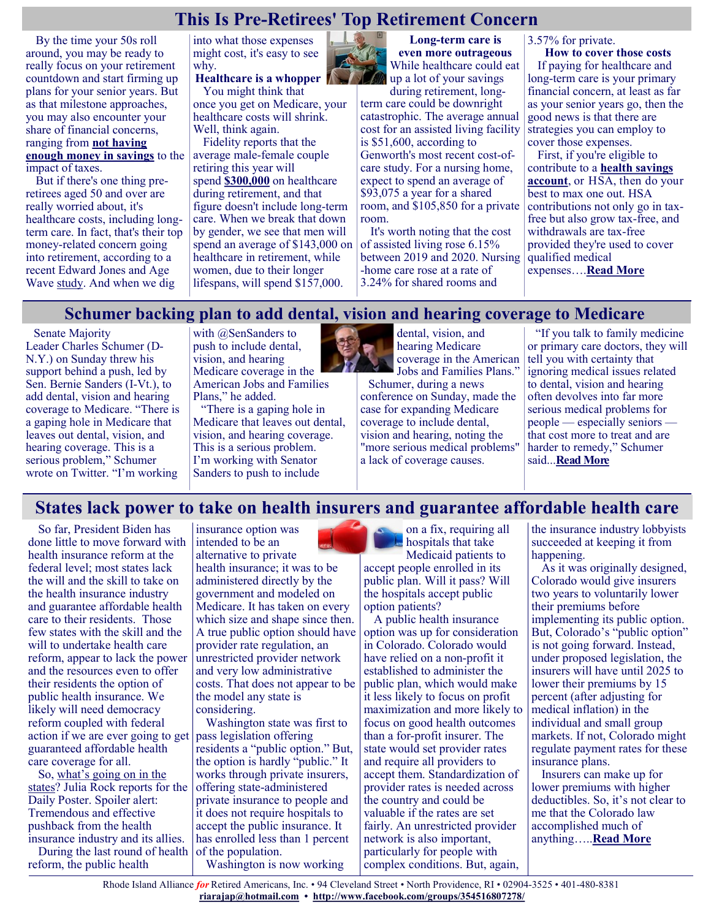# **This Is Pre-Retirees' Top Retirement Concern**

By the time your 50s roll around, you may be ready to really focus on your retirement countdown and start firming up plans for your senior years. But as that milestone approaches, you may also encounter your share of financial concerns, ranging from **[not having](https://www.fool.com/retirement/2021/06/13/over-50-and-low-on-savings-heres-how-to-retire-on/?utm_source=msnrss&utm_medium=feed&utm_campaign=article&referring_guid=aa2224d5-10fe-47b2-88d1-5c56f59540c9)  [enough money in savings](https://www.fool.com/retirement/2021/06/13/over-50-and-low-on-savings-heres-how-to-retire-on/?utm_source=msnrss&utm_medium=feed&utm_campaign=article&referring_guid=aa2224d5-10fe-47b2-88d1-5c56f59540c9)** to the average male-female couple impact of taxes.

But if there's one thing preretirees aged 50 and over are really worried about, it's healthcare costs, including longterm care. In fact, that's their top money-related concern going into retirement, according to a recent Edward Jones and Age Wave [study.](https://www.edwardjones.com/sites/default/files/acquiadam/2021-06/Four-Pillars-US-Report-June-2021.pdf) And when we dig

into what those expenses might cost, it's easy to see why.

**Healthcare is a whopper** You might think that

once you get on Medicare, your healthcare costs will shrink. Well, think again.

Fidelity reports that the retiring this year will spend **[\\$300,000](https://www.fool.com/retirement/2021/05/08/what-will-healthcare-cost-you-in-retirement-prepar/?utm_source=msnrss&utm_medium=feed&utm_campaign=article&referring_guid=aa2224d5-10fe-47b2-88d1-5c56f59540c9)** on healthcare during retirement, and that figure doesn't include long-term care. When we break that down by gender, we see that men will spend an average of \$143,000 on healthcare in retirement, while women, due to their longer lifespans, will spend \$157,000.



**Long-term care is even more outrageous** While healthcare could eat up a lot of your savings

during retirement, longterm care could be downright catastrophic. The average annual cost for an assisted living facility is \$51,600, according to Genworth's most recent cost-ofcare study. For a nursing home, expect to spend an average of \$93,075 a year for a shared room, and \$105,850 for a private room.

It's worth noting that the cost of assisted living rose 6.15% between 2019 and 2020. Nursing -home care rose at a rate of 3.24% for shared rooms and

3.57% for private.

**How to cover those costs** If paying for healthcare and long-term care is your primary financial concern, at least as far as your senior years go, then the good news is that there are strategies you can employ to cover those expenses.

First, if you're eligible to contribute to a **[health savings](https://www.fool.com/retirement/plans/hsa/?utm_source=msnrss&utm_medium=feed&utm_campaign=article&referring_guid=aa2224d5-10fe-47b2-88d1-5c56f59540c9)  [account](https://www.fool.com/retirement/plans/hsa/?utm_source=msnrss&utm_medium=feed&utm_campaign=article&referring_guid=aa2224d5-10fe-47b2-88d1-5c56f59540c9)**, or HSA, then do your best to max one out. HSA contributions not only go in taxfree but also grow tax-free, and withdrawals are tax-free provided they're used to cover qualified medical expenses….**[Read More](https://www.msn.com/en-us/money/retirement/this-is-pre-retirees-top-retirement-concern/ar-AAL8wB8?ocid=SK2DDHP)**

## **Schumer backing plan to add dental, vision and hearing coverage to Medicare**

Senate Majority Leader Charles Schumer (D-N.Y.) on Sunday threw his support behind a push, led by Sen. Bernie Sanders (I-Vt.), to add dental, vision and hearing coverage to Medicare. "There is a gaping hole in Medicare that leaves out dental, vision, and hearing coverage. This is a serious problem," Schumer wrote on Twitter. "I'm working

with @SenSanders to push to include dental, vision, and hearing Medicare coverage in the American Jobs and Families Plans," he added.

"There is a gaping hole in Medicare that leaves out dental, vision, and hearing coverage. This is a serious problem. I'm working with Senator [Sanders](https://twitter.com/SenSanders?ref_src=twsrc%5Etfw) to push to include



dental, vision, and hearing Medicare coverage in the American Jobs and Families Plans."

Schumer, during a news conference on Sunday, made the case for expanding Medicare coverage to include dental, vision and hearing, noting the "more serious medical problems" a lack of coverage causes.

"If you talk to family medicine or primary care doctors, they will tell you with certainty that ignoring medical issues related to dental, vision and hearing often devolves into far more serious medical problems for people — especially seniors that cost more to treat and are harder to remedy," Schumer said...**[Read More](https://thehill.com/homenews/senate/559356-schumer-now-backing-sanders-plan-to-add-dental-vision-and-hearing-coverage-to)**

# **States lack power to take on health insurers and guarantee affordable health care**

So far, President Biden has done little to move forward with health insurance reform at the federal level; most states lack the will and the skill to take on the health insurance industry and guarantee affordable health care to their residents. Those few states with the skill and the will to undertake health care reform, appear to lack the power and the resources even to offer their residents the option of public health insurance. We likely will need democracy reform coupled with federal action if we are ever going to get guaranteed affordable health care coverage for all.

So, [what's going on in the](https://www.dailyposter.com/big-money-v-the-public-option/)  [states](https://www.dailyposter.com/big-money-v-the-public-option/)? Julia Rock reports for the Daily Poster. Spoiler alert: Tremendous and effective pushback from the health insurance industry and its allies.

During the last round of health reform, the public health

insurance option was intended to be an alternative to private health insurance; it was to be administered directly by the government and modeled on Medicare. It has taken on every which size and shape since then. A true public option should have provider rate regulation, an unrestricted provider network and very low administrative costs. That does not appear to be the model any state is considering.

Washington state was first to pass legislation offering residents a "public option." But, the option is hardly "public." It works through private insurers, offering state-administered private insurance to people and it does not require hospitals to accept the public insurance. It has enrolled less than 1 percent of the population. Washington is now working

on a fix, requiring all hospitals that take Medicaid patients to accept people enrolled in its public plan. Will it pass? Will

the hospitals accept public option patients? A public health insurance option was up for consideration in Colorado. Colorado would have relied on a non-profit it established to administer the public plan, which would make it less likely to focus on profit focus on good health outcomes than a for-profit insurer. The

maximization and more likely to state would set provider rates and require all providers to accept them. Standardization of provider rates is needed across the country and could be valuable if the rates are set fairly. An unrestricted provider network is also important, particularly for people with complex conditions. But, again,

the insurance industry lobbyists succeeded at keeping it from happening.

As it was originally designed, Colorado would give insurers two years to voluntarily lower their premiums before implementing its public option. But, Colorado's "public option" is not going forward. Instead, under proposed legislation, the insurers will have until 2025 to lower their premiums by 15 percent (after adjusting for medical inflation) in the individual and small group markets. If not, Colorado might regulate payment rates for these insurance plans.

Insurers can make up for lower premiums with higher deductibles. So, it's not clear to me that the Colorado law accomplished much of anything…..**[Read More](https://justcareusa.org/states-lack-power-to-take-on-health-insurers-and-guarantee-affordable-health-care/)**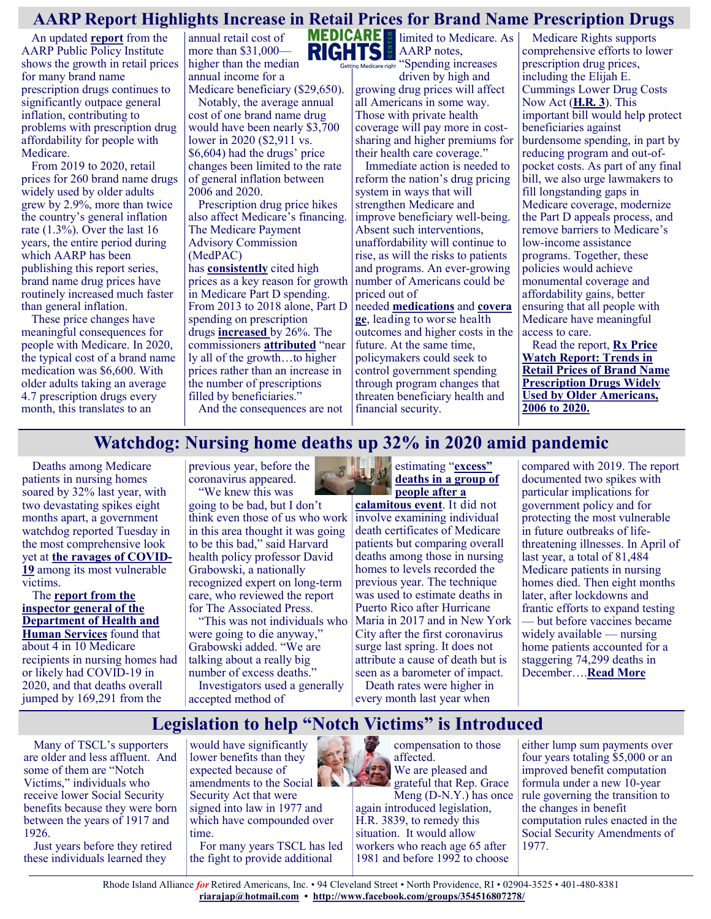## **AARP Report Highlights Increase in Retail Prices for Brand Name Prescription Drugs**

An updated **[report](https://www.aarp.org/content/dam/aarp/ppi/2021/06/trends-in-retail-prices-of-brand-name-prescription-drugs-widely-used-by-older-americans.10.26419-2Fppi.00143.001.pdf)** from the AARP Public Policy Institute shows the growth in retail prices for many brand name prescription drugs continues to significantly outpace general inflation, contributing to problems with prescription drug affordability for people with Medicare.

From 2019 to 2020, retail prices for 260 brand name drugs widely used by older adults grew by 2.9%, more than twice the country's general inflation rate (1.3%). Over the last 16 years, the entire period during which AARP has been publishing this report series, brand name drug prices have routinely increased much faster than general inflation.

These price changes have meaningful consequences for people with Medicare. In 2020, the typical cost of a brand name medication was \$6,600. With older adults taking an average 4.7 prescription drugs every month, this translates to an

annual retail cost of more than \$31,000 higher than the median annual income for a Medicare beneficiary (\$29,650).

Notably, the average annual cost of one brand name drug would have been nearly \$3,700 lower in 2020 (\$2,911 vs. \$6,604) had the drugs' price changes been limited to the rate of general inflation between 2006 and 2020.

Prescription drug price hikes also affect Medicare's financing. The Medicare Payment Advisory Commission (MedPAC)

has **[consistently](http://medpac.gov/docs/default-source/reports/jun18_medpacreporttocongress_sec.pdf)** cited high prices as a key reason for growth in Medicare Part D spending. From 2013 to 2018 alone, Part D spending on prescription drugs **[increased](http://www.medpac.gov/)** by 26%. The commissioners **[attributed](https://www.axios.com/medpac-medicare-drug-spending-prices-9364a77d-079b-496f-b758-ea90b97e0f1f.html)** "near ly all of the growth…to higher prices rather than an increase in the number of prescriptions filled by beneficiaries." And the consequences are not



**MEDICARE** imited to Medicare. As ietting Medicare right "Spending increases

driven by high and growing drug prices will affect all Americans in some way. Those with private health coverage will pay more in costsharing and higher premiums for their health care coverage."

Immediate action is needed to reform the nation's drug pricing system in ways that will strengthen Medicare and improve beneficiary well-being. Absent such interventions, unaffordability will continue to rise, as will the risks to patients and programs. An ever-growing number of Americans could be priced out of

needed **[medications](https://pubmed.ncbi.nlm.nih.gov/32835462/)** and **[covera](https://bmjopen.bmj.com/content/8/1/e016982) [ge](https://bmjopen.bmj.com/content/8/1/e016982)**, leading to worse health outcomes and higher costs in the future. At the same time, policymakers could seek to control government spending through program changes that threaten beneficiary health and financial security.

Medicare Rights supports comprehensive efforts to lower prescription drug prices, including the Elijah E. Cummings Lower Drug Costs Now Act (**[H.R. 3](https://www.medicarerights.org/medicare-watch/2021/05/06/medicare-rights-endorses-elijah-e-cummings-lower-drug-costs-now-act)**). This important bill would help protect beneficiaries against burdensome spending, in part by reducing program and out-ofpocket costs. As part of any final bill, we also urge lawmakers to fill longstanding gaps in Medicare coverage, modernize the Part D appeals process, and remove barriers to Medicare's low-income assistance programs. Together, these policies would achieve monumental coverage and affordability gains, better ensuring that all people with Medicare have meaningful access to care.

Read the report, **[Rx Price](https://www.aarp.org/content/dam/aarp/ppi/2021/06/trends-in-retail-prices-of-brand-name-prescription-drugs-widely-used-by-older-americans.10.26419-2Fppi.00143.001.pdf)  [Watch Report: Trends in](https://www.aarp.org/content/dam/aarp/ppi/2021/06/trends-in-retail-prices-of-brand-name-prescription-drugs-widely-used-by-older-americans.10.26419-2Fppi.00143.001.pdf)  [Retail Prices of Brand Name](https://www.aarp.org/content/dam/aarp/ppi/2021/06/trends-in-retail-prices-of-brand-name-prescription-drugs-widely-used-by-older-americans.10.26419-2Fppi.00143.001.pdf)  [Prescription Drugs Widely](https://www.aarp.org/content/dam/aarp/ppi/2021/06/trends-in-retail-prices-of-brand-name-prescription-drugs-widely-used-by-older-americans.10.26419-2Fppi.00143.001.pdf)  [Used by Older Americans,](https://www.aarp.org/content/dam/aarp/ppi/2021/06/trends-in-retail-prices-of-brand-name-prescription-drugs-widely-used-by-older-americans.10.26419-2Fppi.00143.001.pdf)  [2006 to 2020.](https://www.aarp.org/content/dam/aarp/ppi/2021/06/trends-in-retail-prices-of-brand-name-prescription-drugs-widely-used-by-older-americans.10.26419-2Fppi.00143.001.pdf)**

## **Watchdog: Nursing home deaths up 32% in 2020 amid pandemic**

Deaths among Medicare patients in nursing homes soared by 32% last year, with two devastating spikes eight months apart, a government watchdog reported Tuesday in the most comprehensive look yet at **[the ravages of COVID](https://apnews.com/hub/coronavirus-pandemic)-[19](https://apnews.com/hub/coronavirus-pandemic)** among its most vulnerable victims.

The **[report from the](https://oig.hhs.gov/oei/reports/OEI-02-20-00490.asp)  [inspector general of the](https://oig.hhs.gov/oei/reports/OEI-02-20-00490.asp)  [Department of Health and](https://oig.hhs.gov/oei/reports/OEI-02-20-00490.asp)  [Human Services](https://oig.hhs.gov/oei/reports/OEI-02-20-00490.asp)** found that about 4 in 10 Medicare recipients in nursing homes had or likely had COVID-19 in 2020, and that deaths overall jumped by 169,291 from the

previous year, before the coronavirus appeared. "We knew this was

going to be bad, but I don't think even those of us who work in this area thought it was going to be this bad," said Harvard health policy professor David Grabowski, a nationally recognized expert on long-term care, who reviewed the report for The Associated Press.

"This was not individuals who were going to die anyway," Grabowski added. "We are talking about a really big number of excess deaths." Investigators used a generally accepted method of



**[calamitous event](https://apnews.com/article/hurricanes-puerto-rico-f500b09dcb670d12c4c185fd24017eca)**. It did not involve examining individual death certificates of Medicare patients but comparing overall deaths among those in nursing homes to levels recorded the previous year. The technique was used to estimate deaths in Puerto Rico after Hurricane Maria in 2017 and in New York City after the first coronavirus surge last spring. It does not attribute a cause of death but is seen as a barometer of impact. Death rates were higher in

every month last year when

compared with 2019. The report documented two spikes with particular implications for government policy and for protecting the most vulnerable in future outbreaks of lifethreatening illnesses. In April of last year, a total of 81,484 Medicare patients in nursing homes died. Then eight months later, after lockdowns and frantic efforts to expand testing — but before vaccines became widely available — nursing home patients accounted for a staggering 74,299 deaths in December….**[Read More](https://apnews.com/article/nursing-homes-coronavirus-pandemic-pandemics-business-health-f1a44187198ccca1e4311ac72f4f42aa)**

## **Legislation to help "Notch Victims" is Introduced**

Many of TSCL's supporters are older and less affluent. And some of them are "Notch Victims," individuals who receive lower Social Security benefits because they were born between the years of 1917 and 1926.

Just years before they retired these individuals learned they

would have significantly lower benefits than they expected because of amendments to the Social  $\mathbf{A}$ Security Act that were signed into law in 1977 and which have compounded over time.

For many years TSCL has led the fight to provide additional

compensation to those affected. We are pleased and grateful that Rep. Grace

Meng (D-N.Y.) has once again introduced legislation, H.R. 3839, to remedy this situation. It would allow workers who reach age 65 after 1981 and before 1992 to choose

either lump sum payments over four years totaling \$5,000 or an improved benefit computation formula under a new 10-year rule governing the transition to the changes in benefit computation rules enacted in the Social Security Amendments of 1977.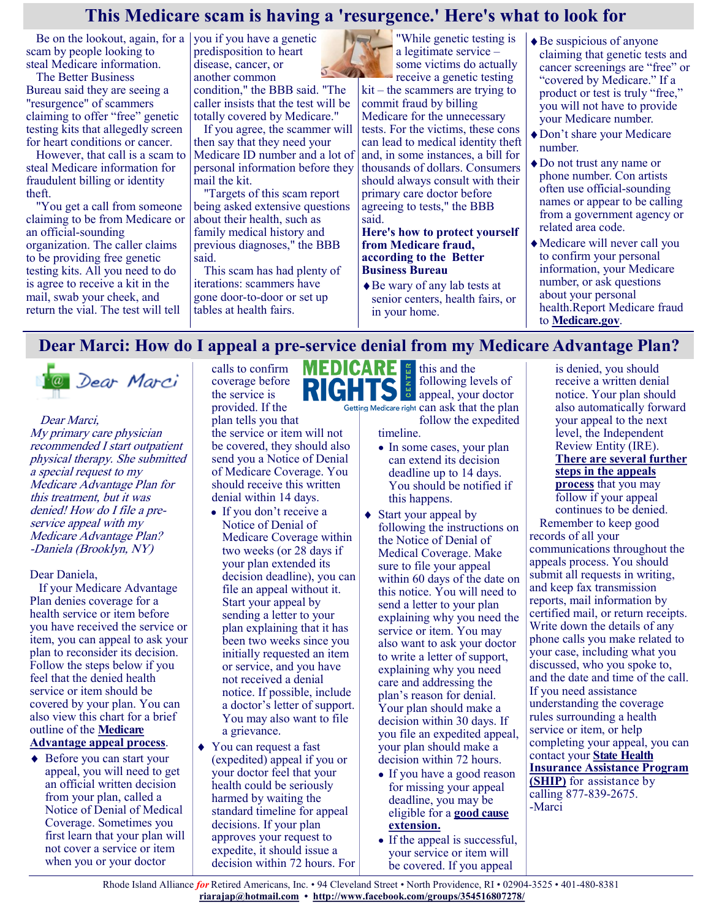## **This Medicare scam is having a 'resurgence.' Here's what to look for**

Be on the lookout, again, for a  $\vert$  you if you have a genetic scam by people looking to steal Medicare information.

The [Better Business](https://www.bbb.org/)  [Bureau](https://www.bbb.org/) said they are seeing a "resurgence" of scammers claiming to offer "free" genetic testing kits that allegedly screen for heart conditions or cancer.

However, that call is a scam to steal Medicare information for fraudulent billing or identity theft.

"You get a call from someone claiming to be from Medicare or an official-sounding organization. The caller claims to be providing free genetic testing kits. All you need to do is agree to receive a kit in the mail, swab your cheek, and return the vial. The test will tell

predisposition to heart disease, cancer, or  $5 - 40$ another common condition," the BBB said. "The caller insists that the test will be totally covered by Medicare."

If you agree, the scammer will then say that they need your Medicare ID number and a lot of personal information before they mail the kit.

"Targets of this scam report being asked extensive questions about their health, such as family medical history and previous diagnoses," the BBB said.

This scam has had plenty of iterations: scammers have gone door-to-door or set up tables at health fairs.

"While genetic testing is a legitimate service – some victims do actually receive a genetic testing

 $kit$  – the scammers are trying to commit fraud by billing

Medicare for the unnecessary tests. For the victims, these cons can lead to medical identity theft and, in some instances, a bill for thousands of dollars. Consumers should always consult with their primary care doctor before agreeing to tests," the BBB said.

#### **Here's how to protect yourself from Medicare fraud, according to the Better Business Bureau**

Be wary of any lab tests at senior centers, health fairs, or in your home.

- Be suspicious of anyone claiming that genetic tests and cancer screenings are "free" or "covered by Medicare." If a product or test is truly "free," you will not have to provide your Medicare number.
- Don't share your Medicare number.
- ◆ Do not trust any name or phone number. Con artists often use official-sounding names or appear to be calling from a government agency or related area code.
- Medicare will never call you to confirm your personal information, your Medicare number, or ask questions about your personal health.Report Medicare fraud to **<Medicare.gov>**.

## **Dear Marci: How do I appeal a pre-service denial from my Medicare Advantage Plan?**

@ Dear Marci

Dear Marci, My primary care physician recommended I start outpatient physical therapy. She submitted a special request to my Medicare Advantage Plan for this treatment, but it was denied! How do I file a preservice appeal with my Medicare Advantage Plan? -Daniela (Brooklyn, NY)

Dear Daniela,

If your Medicare Advantage Plan denies coverage for a health service or item before you have received the service or item, you can appeal to ask your plan to reconsider its decision. Follow the steps below if you feel that the denied health service or item should be covered by your plan. You can also view this chart for a brief outline of the **[Medicare](https://medicarerights.us15.list-manage.com/track/click?u=1621f54a596f3717c22815356&id=8294b2c13e&e=88d22ba1fe)  [Advantage appeal process](https://medicarerights.us15.list-manage.com/track/click?u=1621f54a596f3717c22815356&id=8294b2c13e&e=88d22ba1fe)**.

◆ Before you can start your appeal, you will need to get an official written decision from your plan, called a Notice of Denial of Medical Coverage. Sometimes you first learn that your plan will not cover a service or item when you or your doctor

calls to confirm coverage before the service is provided. If the plan tells you that the service or item will not be covered, they should also send you a Notice of Denial of Medicare Coverage. You should receive this written denial within 14 days.

- If you don't receive a Notice of Denial of Medicare Coverage within two weeks (or 28 days if your plan extended its decision deadline), you can file an appeal without it. Start your appeal by sending a letter to your plan explaining that it has been two weeks since you initially requested an item or service, and you have not received a denial notice. If possible, include a doctor's letter of support. You may also want to file a grievance.
- ◆ You can request a fast (expedited) appeal if you or your doctor feel that your health could be seriously harmed by waiting the standard timeline for appeal decisions. If your plan approves your request to expedite, it should issue a decision within 72 hours. For

**MEDICARE** is this and the following levels of appeal, your doctor Getting Medicare right can ask that the plan

follow the expedited

timeline.

- In some cases, your plan can extend its decision deadline up to 14 days. You should be notified if this happens.
- ◆ Start your appeal by following the instructions on the Notice of Denial of Medical Coverage. Make sure to file your appeal within 60 days of the date on this notice. You will need to send a letter to your plan explaining why you need the service or item. You may also want to ask your doctor to write a letter of support, explaining why you need care and addressing the plan's reason for denial. Your plan should make a decision within 30 days. If you file an expedited appeal, your plan should make a decision within 72 hours.
	- If you have a good reason for missing your appeal deadline, you may be eligible for a **[good cause](https://medicarerights.us15.list-manage.com/track/click?u=1621f54a596f3717c22815356&id=54e6633937&e=88d22ba1fe)  [extension.](https://medicarerights.us15.list-manage.com/track/click?u=1621f54a596f3717c22815356&id=54e6633937&e=88d22ba1fe)**
	- If the appeal is successful, your service or item will be covered. If you appeal

is denied, you should receive a written denial notice. Your plan should also automatically forward your appeal to the next level, the Independent Review Entity (IRE). **[There are several further](https://medicarerights.us15.list-manage.com/track/click?u=1621f54a596f3717c22815356&id=a43db3b496&e=88d22ba1fe)  [steps in the appeals](https://medicarerights.us15.list-manage.com/track/click?u=1621f54a596f3717c22815356&id=a43db3b496&e=88d22ba1fe)  [process](https://medicarerights.us15.list-manage.com/track/click?u=1621f54a596f3717c22815356&id=a43db3b496&e=88d22ba1fe)** that you may follow if your appeal continues to be denied. Remember to keep good records of all your communications throughout the appeals process. You should submit all requests in writing, and keep fax transmission reports, mail information by certified mail, or return receipts. Write down the details of any phone calls you make related to your case, including what you discussed, who you spoke to, and the date and time of the call. If you need assistance understanding the coverage rules surrounding a health service or item, or help completing your appeal, you can contact your **[State Health](https://medicarerights.us15.list-manage.com/track/click?u=1621f54a596f3717c22815356&id=4d16a7745f&e=88d22ba1fe)  [Insurance Assistance Program](https://medicarerights.us15.list-manage.com/track/click?u=1621f54a596f3717c22815356&id=4d16a7745f&e=88d22ba1fe)** 

**[\(SHIP\)](https://medicarerights.us15.list-manage.com/track/click?u=1621f54a596f3717c22815356&id=4d16a7745f&e=88d22ba1fe)** for assistance by calling 877-839-2675. -Marci

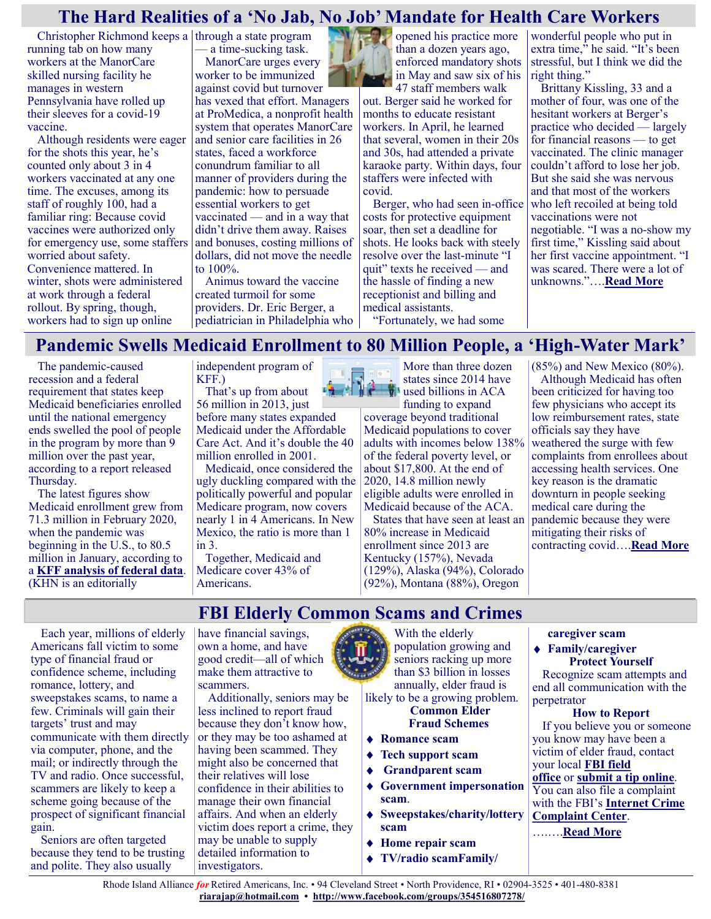## **The Hard Realities of a 'No Jab, No Job' Mandate for Health Care Workers**

Christopher Richmond keeps a through a state program running tab on how many workers at the ManorCare skilled nursing facility he manages in western Pennsylvania have rolled up their sleeves for a covid-19 vaccine.

Although residents were eager for the shots this year, he's counted only about 3 in 4 workers vaccinated at any one time. The excuses, among its staff of roughly 100, had a familiar ring: Because covid vaccines were authorized only for emergency use, some staffers worried about safety. Convenience mattered. In winter, shots were administered at work through a federal rollout. By spring, though, workers had to sign up online

a time-sucking task.

ManorCare urges every worker to be immunized against covid but turnover has vexed that effort. Managers at ProMedica, a nonprofit health system that operates ManorCare and senior care facilities in 26 states, faced a workforce conundrum familiar to all manner of providers during the pandemic: how to persuade essential workers to get vaccinated — and in a way that didn't drive them away. Raises and bonuses, costing millions of dollars, did not move the needle to 100%.

Animus toward the vaccine created turmoil for some providers. Dr. Eric Berger, a pediatrician in Philadelphia who opened his practice more than a dozen years ago, enforced mandatory shots in May and saw six of his 47 staff members walk

out. Berger said he worked for months to educate resistant workers. In April, he learned that several, women in their 20s and 30s, had attended a private karaoke party. Within days, four staffers were infected with covid.

Berger, who had seen in-office costs for protective equipment soar, then set a deadline for shots. He looks back with steely resolve over the last-minute "I quit" texts he received — and the hassle of finding a new receptionist and billing and medical assistants.

"Fortunately, we had some

wonderful people who put in extra time," he said. "It's been stressful, but I think we did the right thing."

Brittany Kissling, 33 and a mother of four, was one of the hesitant workers at Berger's practice who decided — largely for financial reasons — to get vaccinated. The clinic manager couldn't afford to lose her job. But she said she was nervous and that most of the workers who left recoiled at being told vaccinations were not negotiable. "I was a no-show my first time," Kissling said about her first vaccine appointment. "I was scared. There were a lot of unknowns."….**[Read More](https://khn.org/news/article/covid-vaccination-employer-mandate-health-care-workers-no-jab-no-job/)**

## **Pandemic Swells Medicaid Enrollment to 80 Million People, a 'High-Water Mark'**

The pandemic-caused recession and a federal requirement that states keep Medicaid beneficiaries enrolled until the national emergency ends swelled the pool of people in the program by more than 9 million over the past year, according to a report released Thursday.

The latest figures show Medicaid enrollment grew from 71.3 million in February 2020, when the pandemic was beginning in the U.S., to 80.5 million in January, according to a **[KFF analysis of federal data](https://www.kff.org/coronavirus-covid-19/issue-brief/analysis-of-recent-national-trends-in-medicaid-and-chip-enrollment/)**. (KHN is an editorially

independent program of KFF.)

That's up from about  $\frac{1}{2}$ 56 million in 2013, just before many states expanded Medicaid under the Affordable Care Act. And it's double the 40 million enrolled in 2001.

Medicaid, once considered the ugly duckling compared with the politically powerful and popular Medicare program, now covers nearly 1 in 4 Americans. In New Mexico, the ratio is more than 1 in 3.

Together, Medicaid and Medicare cover 43% of Americans.

More than three dozen states since 2014 have **V** used billions in ACA funding to expand coverage beyond traditional Medicaid populations to cover adults with incomes below 138% of the federal poverty level, or about \$17,800. At the end of 2020, 14.8 million newly eligible adults were enrolled in Medicaid because of the ACA.

States that have seen at least an 80% increase in Medicaid enrollment since 2013 are Kentucky (157%), Nevada (129%), Alaska (94%), Colorado (92%), Montana (88%), Oregon

(85%) and New Mexico (80%). Although Medicaid has often been criticized for having too few physicians who accept its low reimbursement rates, state officials say they have weathered the surge with few complaints from enrollees about accessing health services. One key reason is the dramatic downturn in people seeking medical care during the pandemic because they were mitigating their risks of contracting covid….**[Read More](https://khn.org/news/article/medicaid-enrollment-record-80-million-pandemic/)**

# **FBI Elderly Common Scams and Crimes**

Each year, millions of elderly Americans fall victim to some type of financial fraud or confidence scheme, including romance, lottery, and sweepstakes scams, to name a few. Criminals will gain their targets' trust and may communicate with them directly via computer, phone, and the mail; or indirectly through the TV and radio. Once successful, scammers are likely to keep a scheme going because of the prospect of significant financial gain.

Seniors are often targeted because they tend to be trusting and polite. They also usually

have financial savings, own a home, and have good credit—all of which make them attractive to scammers.

Additionally, seniors may be less inclined to report fraud because they don't know how, or they may be too ashamed at having been scammed. They might also be concerned that their relatives will lose confidence in their abilities to manage their own financial affairs. And when an elderly victim does report a crime, they may be unable to supply detailed information to investigators.

With the elderly population growing and seniors racking up more than \$3 billion in losses annually, elder fraud is likely to be a growing problem. **Common Elder**

**Fraud Schemes Romance scam**

- **Tech support scam**
- **Grandparent scam**
- **Government impersonation scam**.
- **Sweepstakes/charity/lottery scam**
- **Home repair scam**
- **TV/radio scamFamily/**

#### **caregiver scam**

#### **Family/caregiver Protect Yourself**

Recognize scam attempts and end all communication with the perpetrator

#### **How to Report**

If you believe you or someone you know may have been a victim of elder fraud, contact your local **[FBI field](https://www.fbi.gov/contact-us/field-offices)  [office](https://www.fbi.gov/contact-us/field-offices)** or **[submit a tip online](http://tips.fbi.gov/)**. You can also file a complaint with the FBI's **[Internet Crime](http://www.ic3.gov/)  [Complaint Center](http://www.ic3.gov/)**.

….….**[Read More](https://www.fbi.gov/scams-and-safety/common-scams-and-crimes/elder-fraud)**

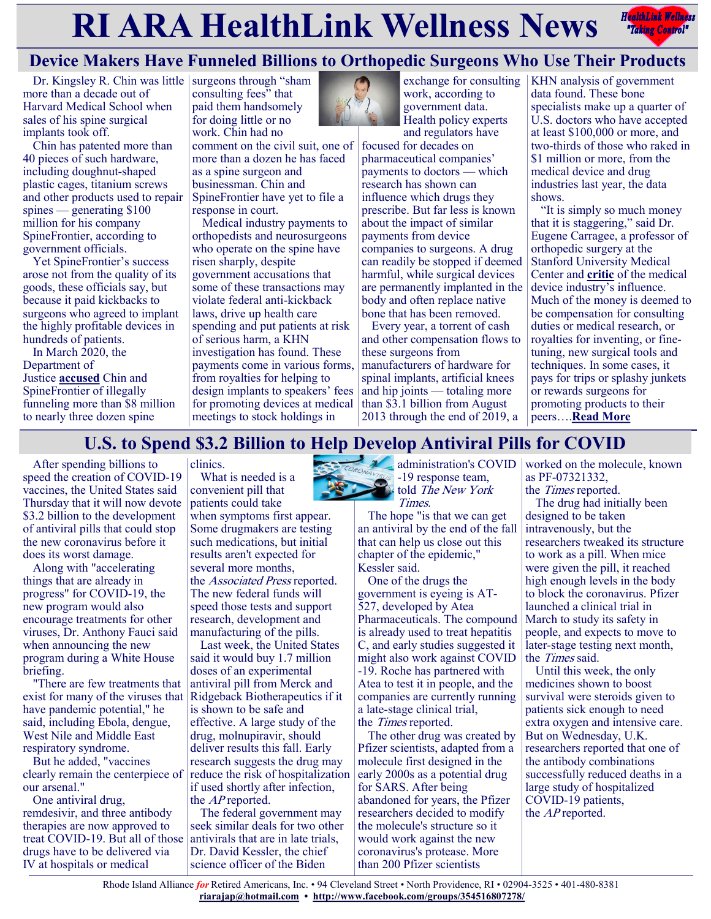# **RIARA HealthLink Wellness News** *Redige Controly*



# **Device Makers Have Funneled Billions to Orthopedic Surgeons Who Use Their Products**

Dr. Kingsley R. Chin was little more than a decade out of Harvard Medical School when sales of his spine surgical implants took off.

Chin has patented more than 40 pieces of such hardware, including doughnut-shaped plastic cages, titanium screws and other products used to repair spines — generating \$100 million for his company SpineFrontier, according to government officials.

Yet SpineFrontier's success arose not from the quality of its goods, these officials say, but because it paid kickbacks to surgeons who agreed to implant the highly profitable devices in hundreds of patients.

In March 2020, the Department of Justice **[accused](https://www.justice.gov/opa/pr/doj-files-suit-against-spine-device-manufacturer-and-executives-alleging-kickbacks-surgeons)** Chin and SpineFrontier of illegally funneling more than \$8 million to nearly three dozen spine

surgeons through "sham consulting fees" that paid them handsomely for doing little or no work. Chin had no

comment on the civil suit, one of more than a dozen he has faced as a spine surgeon and businessman. Chin and SpineFrontier have yet to file a response in court.

Medical industry payments to orthopedists and neurosurgeons who operate on the spine have risen sharply, despite government accusations that some of these transactions may violate federal anti-kickback laws, drive up health care spending and put patients at risk of serious harm, a KHN investigation has found. These payments come in various forms, from royalties for helping to design implants to speakers' fees for promoting devices at medical meetings to stock holdings in



exchange for consulting work, according to government data. Health policy experts and regulators have

focused for decades on pharmaceutical companies' payments to doctors — which research has shown can influence which drugs they prescribe. But far less is known about the impact of similar payments from device companies to surgeons. A drug can readily be stopped if deemed harmful, while surgical devices are permanently implanted in the body and often replace native bone that has been removed.

Every year, a torrent of cash and other compensation flows to these surgeons from manufacturers of hardware for spinal implants, artificial knees and hip joints — totaling more than \$3.1 billion from August 2013 through the end of 2019, a

KHN analysis of government data found. These bone specialists make up a quarter of U.S. doctors who have accepted at least \$100,000 or more, and two-thirds of those who raked in \$1 million or more, from the medical device and drug industries last year, the data shows.

"It is simply so much money that it is staggering," said Dr. Eugene Carragee, a professor of orthopedic surgery at the Stanford University Medical Center and **[critic](https://www.spine.org/Portals/0/assets/downloads/PressReleases/2013/Carragee_Statement_YODA_Reports_061713.pdf)** of the medical device industry's influence. Much of the money is deemed to be compensation for consulting duties or medical research, or royalties for inventing, or finetuning, new surgical tools and techniques. In some cases, it pays for trips or splashy junkets or rewards surgeons for promoting products to their peers….**[Read More](https://khn.org/news/article/spine-surgery-implants-device-makers-orthopedic-surgeons-kickbacks/)**

# **U.S. to Spend \$3.2 Billion to Help Develop Antiviral Pills for COVID**

After spending billions to speed the creation of COVID-19 vaccines, the United States said Thursday that it will now devote \$3.2 billion to the development of antiviral pills that could stop the new coronavirus before it does its worst damage.

Along with "accelerating things that are already in progress" for COVID-19, the new program would also encourage treatments for other viruses, Dr. Anthony Fauci said when announcing the new program during a White House briefing.

"There are few treatments that exist for many of the viruses that have pandemic potential," he said, including Ebola, dengue, West Nile and Middle East respiratory syndrome.

But he added, "vaccines clearly remain the centerpiece of our arsenal."

One antiviral drug, remdesivir, and three antibody therapies are now approved to treat COVID-19. But all of those drugs have to be delivered via IV at hospitals or medical

clinics.

What is needed is a convenient pill that patients could take when symptoms first appear.

Some drugmakers are testing such medications, but initial results aren't expected for several more months, the Associated Press reported. The new federal funds will speed those tests and support research, development and manufacturing of the pills.

Last week, the United States said it would buy 1.7 million doses of an experimental antiviral pill from Merck and Ridgeback Biotherapeutics if it is shown to be safe and effective. A large study of the drug, molnupiravir, should deliver results this fall. Early research suggests the drug may reduce the risk of hospitalization if used shortly after infection, the AP reported.

The federal government may seek similar deals for two other antivirals that are in late trials, Dr. David Kessler, the chief science officer of the Biden



 $\sum_{n=1}^{\infty}$  -19 response team, told The New York Times.

The hope "is that we can get an antiviral by the end of the fall that can help us close out this chapter of the epidemic," Kessler said.

One of the drugs the government is eyeing is AT-527, developed by Atea Pharmaceuticals. The compound is already used to treat hepatitis C, and early studies suggested it might also work against COVID -19. Roche has partnered with Atea to test it in people, and the companies are currently running a late-stage clinical trial, the Times reported.

The other drug was created by Pfizer scientists, adapted from a molecule first designed in the early 2000s as a potential drug for SARS. After being abandoned for years, the Pfizer researchers decided to modify the molecule's structure so it would work against the new coronavirus's protease. More than 200 Pfizer scientists

administration's COVID worked on the molecule, known as PF-07321332,

the Times reported.

The drug had initially been designed to be taken intravenously, but the researchers tweaked its structure to work as a pill. When mice were given the pill, it reached high enough levels in the body to block the coronavirus. Pfizer launched a clinical trial in March to study its safety in people, and expects to move to later-stage testing next month, the Times said.

Until this week, the only medicines shown to boost survival were steroids given to patients sick enough to need extra oxygen and intensive care. But on Wednesday, U.K. researchers reported that one of the antibody combinations successfully reduced deaths in a large study of hospitalized COVID-19 patients, the *AP* reported.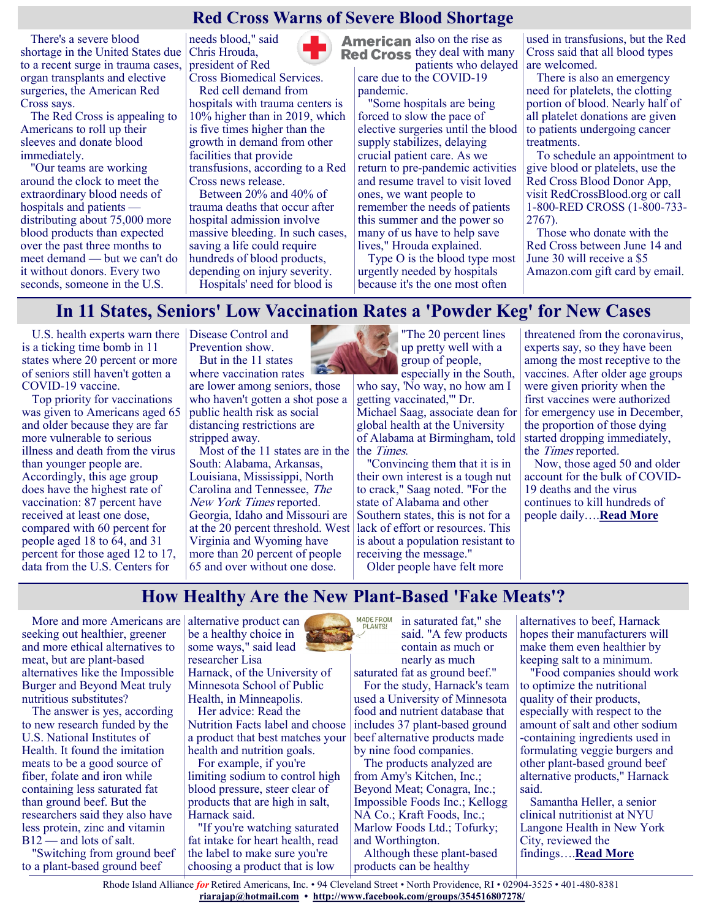## **Red Cross Warns of Severe Blood Shortage**

There's a severe blood shortage in the United States due to a recent surge in trauma cases, organ transplants and elective surgeries, the American Red Cross says.

The Red Cross is appealing to Americans to roll up their sleeves and donate blood immediately.

"Our teams are working around the clock to meet the extraordinary blood needs of hospitals and patients distributing about 75,000 more blood products than expected over the past three months to meet demand — but we can't do it without donors. Every two seconds, someone in the U.S.

needs blood," said Chris Hrouda, president of Red

Cross Biomedical Services. Red cell demand from

hospitals with trauma centers is 10% higher than in 2019, which is five times higher than the growth in demand from other facilities that provide transfusions, according to a Red Cross news release.

Between 20% and 40% of trauma deaths that occur after hospital admission involve massive bleeding. In such cases, saving a life could require hundreds of blood products, depending on injury severity. Hospitals' need for blood is

**American** also on the rise as **Red Cross** they deal with many patients who delayed

care due to the COVID-19 pandemic.

"Some hospitals are being forced to slow the pace of elective surgeries until the blood supply stabilizes, delaying crucial patient care. As we return to pre-pandemic activities and resume travel to visit loved ones, we want people to remember the needs of patients this summer and the power so many of us have to help save lives," Hrouda explained.

Type O is the blood type most urgently needed by hospitals because it's the one most often

used in transfusions, but the Red Cross said that all blood types are welcomed.

There is also an emergency need for platelets, the clotting portion of blood. Nearly half of all platelet donations are given to patients undergoing cancer treatments.

To schedule an appointment to give blood or platelets, use the Red Cross Blood Donor App, visit RedCrossBlood.org or call 1-800-RED CROSS (1-800-733- 2767).

Those who donate with the Red Cross between June 14 and June 30 will receive a \$5 Amazon.com gift card by email.

## **In 11 States, Seniors' Low Vaccination Rates a 'Powder Keg' for New Cases**

U.S. health experts warn there Disease Control and is a ticking time bomb in 11 states where 20 percent or more of seniors still haven't gotten a COVID-19 vaccine.

Top priority for vaccinations was given to Americans aged 65 and older because they are far more vulnerable to serious illness and death from the virus than younger people are. Accordingly, this age group does have the highest rate of vaccination: 87 percent have received at least one dose, compared with 60 percent for people aged 18 to 64, and 31 percent for those aged 12 to 17, data from the U.S. Centers for

Prevention show. But in the 11 states

where vaccination rates are lower among seniors, those who haven't gotten a shot pose a public health risk as social distancing restrictions are stripped away.

Most of the 11 states are in the South: Alabama, Arkansas, Louisiana, Mississippi, North Carolina and Tennessee, The New York Times reported. Georgia, Idaho and Missouri are at the 20 percent threshold. West Virginia and Wyoming have more than 20 percent of people 65 and over without one dose.



"The 20 percent lines up pretty well with a group of people, especially in the South,

who say, 'No way, no how am I getting vaccinated,'" Dr. Michael Saag, associate dean for global health at the University of Alabama at Birmingham, told the Times.

"Convincing them that it is in their own interest is a tough nut to crack," Saag noted. "For the state of Alabama and other Southern states, this is not for a lack of effort or resources. This is about a population resistant to receiving the message."

Older people have felt more

threatened from the coronavirus, experts say, so they have been among the most receptive to the vaccines. After older age groups were given priority when the first vaccines were authorized for emergency use in December, the proportion of those dying started dropping immediately, the Times reported.

Now, those aged 50 and older account for the bulk of COVID-19 deaths and the virus continues to kill hundreds of people daily….**[Read More](https://consumer.healthday.com/6-21-vaccination-rates-among-seniors-lag-in-11-states-2653475322.html)**

## **How Healthy Are the New Plant-Based 'Fake Meats'?**

More and more Americans are seeking out healthier, greener and more ethical alternatives to meat, but are plant-based alternatives like the Impossible Burger and Beyond Meat truly nutritious substitutes?

The answer is yes, according to new research funded by the U.S. National Institutes of Health. It found the imitation meats to be a good source of fiber, folate and iron while containing less saturated fat than ground beef. But the researchers said they also have less protein, zinc and vitamin B12 — and lots of salt.

"Switching from ground beef to a plant-based ground beef

alternative product can be a healthy choice in some ways," said lead researcher Lisa Harnack, of the University of Minnesota School of Public Health, in Minneapolis.

Her advice: Read the Nutrition Facts label and choose a product that best matches your health and nutrition goals.

For example, if you're limiting sodium to control high blood pressure, steer clear of products that are high in salt, Harnack said.

"If you're watching saturated fat intake for heart health, read the label to make sure you're choosing a product that is low

MADE FROM<br>PLANTS! in saturated fat," she said. "A few products contain as much or nearly as much

saturated fat as ground beef." For the study, Harnack's team used a University of Minnesota food and nutrient database that includes 37 plant-based ground beef alternative products made by nine food companies.

The products analyzed are from Amy's Kitchen, Inc.; Beyond Meat; Conagra, Inc.; Impossible Foods Inc.; Kellogg NA Co.; Kraft Foods, Inc.; Marlow Foods Ltd.; Tofurky; and Worthington.

Although these plant-based products can be healthy

alternatives to beef, Harnack hopes their manufacturers will make them even healthier by keeping salt to a minimum.

"Food companies should work to optimize the nutritional quality of their products, especially with respect to the amount of salt and other sodium -containing ingredients used in formulating veggie burgers and other plant-based ground beef alternative products," Harnack said.

Samantha Heller, a senior clinical nutritionist at NYU Langone Health in New York City, reviewed the findings….**[Read More](https://consumer.healthday.com/6-17-just-how-healthy-are-the-new-plant-based-fake-meats-2653384012.html)**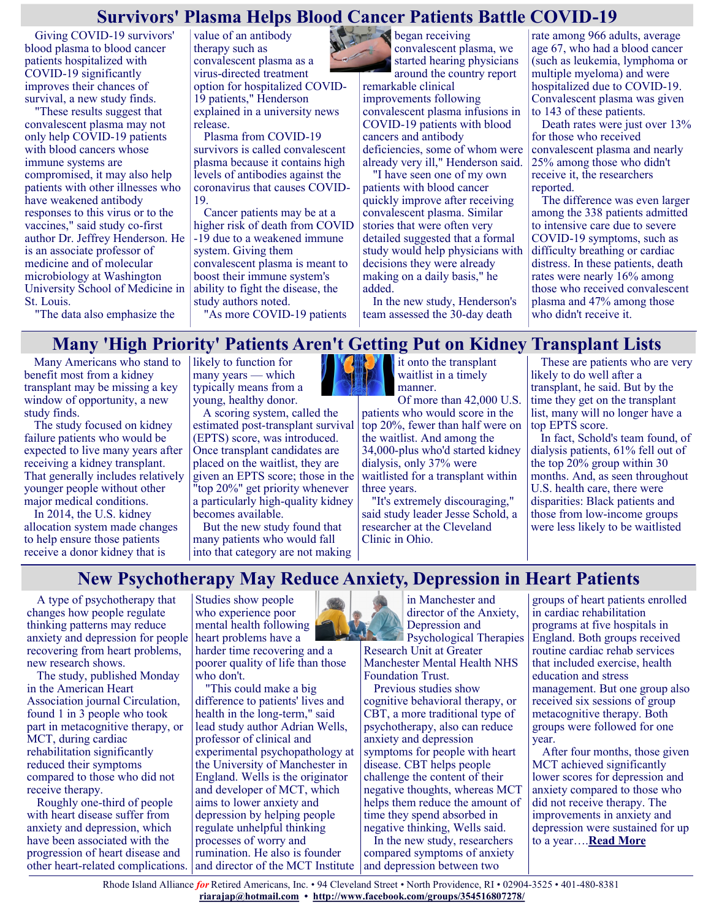## **Survivors' Plasma Helps Blood Cancer Patients Battle COVID-19**

Giving COVID-19 survivors' blood plasma to blood cancer patients hospitalized with COVID-19 significantly improves their chances of survival, a new study finds.

"These results suggest that convalescent plasma may not only help COVID-19 patients with blood cancers whose immune systems are compromised, it may also help patients with other illnesses who have weakened antibody responses to this virus or to the vaccines," said study co-first author Dr. Jeffrey Henderson. He is an associate professor of medicine and of molecular microbiology at Washington University School of Medicine in St. Louis.

value of an antibody therapy such as convalescent plasma as a virus-directed treatment option for hospitalized COVID-19 patients," Henderson explained in a university news release.

Plasma from COVID-19 survivors is called convalescent plasma because it contains high levels of antibodies against the coronavirus that causes COVID-19.

Cancer patients may be at a higher risk of death from COVID -19 due to a weakened immune system. Giving them convalescent plasma is meant to boost their immune system's ability to fight the disease, the study authors noted.

"As more COVID-19 patients

began receiving convalescent plasma, we started hearing physicians around the country report remarkable clinical improvements following convalescent plasma infusions in COVID-19 patients with blood cancers and antibody deficiencies, some of whom were already very ill," Henderson said.

> "I have seen one of my own patients with blood cancer quickly improve after receiving convalescent plasma. Similar stories that were often very detailed suggested that a formal study would help physicians with decisions they were already making on a daily basis," he added.

In the new study, Henderson's team assessed the 30-day death

rate among 966 adults, average age 67, who had a blood cancer (such as leukemia, lymphoma or multiple myeloma) and were hospitalized due to COVID-19. Convalescent plasma was given to 143 of these patients.

Death rates were just over 13% for those who received convalescent plasma and nearly 25% among those who didn't receive it, the researchers reported.

The difference was even larger among the 338 patients admitted to intensive care due to severe COVID-19 symptoms, such as difficulty breathing or cardiac distress. In these patients, death rates were nearly 16% among those who received convalescent plasma and 47% among those who didn't receive it.

"The data also emphasize the

## **Many 'High Priority' Patients Aren't Getting Put on Kidney Transplant Lists**

Many Americans who stand to benefit most from a kidney transplant may be missing a key window of opportunity, a new study finds.

The study focused on kidney failure patients who would be expected to live many years after receiving a kidney transplant. That generally includes relatively younger people without other major medical conditions.

In 2014, the U.S. kidney allocation system made changes to help ensure those patients receive a donor kidney that is

likely to function for many years — which typically means from a young, healthy donor.

A scoring system, called the estimated post-transplant survival (EPTS) score, was introduced. Once transplant candidates are placed on the waitlist, they are given an EPTS score; those in the "top 20%" get priority whenever a particularly high-quality kidney becomes available.

But the new study found that many patients who would fall into that category are not making



it onto the transplant waitlist in a timely manner.

Of more than 42,000 U.S. patients who would score in the top 20%, fewer than half were on the waitlist. And among the 34,000-plus who'd started kidney dialysis, only 37% were waitlisted for a transplant within three years.

"It's extremely discouraging," said study leader Jesse Schold, a researcher at the Cleveland Clinic in Ohio.

These are patients who are very likely to do well after a transplant, he said. But by the time they get on the transplant list, many will no longer have a top EPTS score.

In fact, Schold's team found, of dialysis patients, 61% fell out of the top 20% group within 30 months. And, as seen throughout U.S. health care, there were disparities: Black patients and those from low-income groups were less likely to be waitlisted

## **New Psychotherapy May Reduce Anxiety, Depression in Heart Patients**

A type of psychotherapy that changes how people regulate thinking patterns may reduce anxiety and depression for people recovering from heart problems, new research shows.

The study, published Monday in the American Heart Association journal Circulation, found 1 in 3 people who took part in metacognitive therapy, or MCT, during cardiac rehabilitation significantly reduced their symptoms compared to those who did not receive therapy.

Roughly one-third of people with heart disease suffer from anxiety and depression, which have been associated with the progression of heart disease and other heart-related complications.

Studies show people who experience poor mental health following heart problems have a

harder time recovering and a poorer quality of life than those who don't.

"This could make a big difference to patients' lives and health in the long-term," said lead study author Adrian Wells, professor of clinical and experimental psychopathology at the University of Manchester in England. Wells is the originator and developer of MCT, which aims to lower anxiety and depression by helping people regulate unhelpful thinking processes of worry and rumination. He also is founder and director of the MCT Institute  $\vert$  and depression between two



in Manchester and director of the Anxiety, Depression and

Psychological Therapies Research Unit at Greater Manchester Mental Health NHS Foundation Trust.

Previous studies show cognitive behavioral therapy, or CBT, a more traditional type of psychotherapy, also can reduce anxiety and depression symptoms for people with heart disease. CBT helps people challenge the content of their negative thoughts, whereas MCT helps them reduce the amount of time they spend absorbed in negative thinking, Wells said.

In the new study, researchers compared symptoms of anxiety groups of heart patients enrolled in cardiac rehabilitation programs at five hospitals in England. Both groups received routine cardiac rehab services that included exercise, health education and stress management. But one group also received six sessions of group metacognitive therapy. Both groups were followed for one year.

After four months, those given MCT achieved significantly lower scores for depression and anxiety compared to those who did not receive therapy. The improvements in anxiety and depression were sustained for up to a year….**[Read More](https://consumer.healthday.com/aha-news-new-psychotherapy-may-reduce-anxiety-depression-in-heart-patients-2653476084.html)**